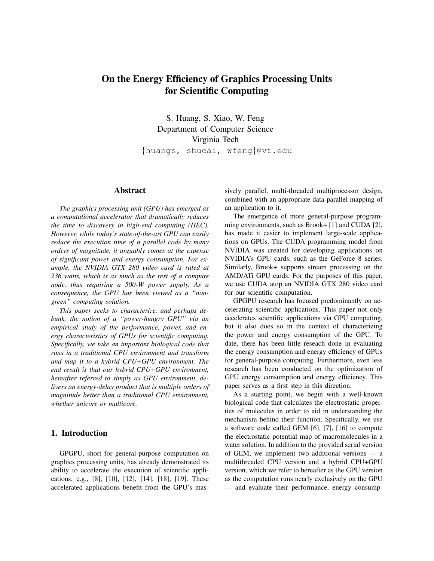# On the Energy Efficiency of Graphics Processing Units for Scientific Computing

S. Huang, S. Xiao, W. Feng Department of Computer Science Virginia Tech {huangs, shucai, wfeng}@vt.edu

#### Abstract

*The graphics processing unit (GPU) has emerged as a computational accelerator that dramatically reduces the time to discovery in high-end computing (HEC). However, while today's state-of-the-art GPU can easily reduce the execution time of a parallel code by many orders of magnitude, it arguably comes at the expense of significant power and energy consumption. For example, the NVIDIA GTX 280 video card is rated at 236 watts, which is as much as the rest of a compute node, thus requiring a 500-W power supply. As a consequence, the GPU has been viewed as a "nongreen" computing solution.*

*This paper seeks to characterize, and perhaps debunk, the notion of a "power-hungry GPU" via an empirical study of the performance, power, and energy characteristics of GPUs for scientific computing. Specifically, we take an important biological code that runs in a traditional CPU environment and transform and map it to a hybrid CPU+GPU environment. The end result is that our hybrid CPU+GPU environment, hereafter referred to simply as GPU environment, delivers an energy-delay product that is multiple orders of magnitude better than a traditional CPU environment, whether unicore or multicore.*

# 1. Introduction

GPGPU, short for general-purpose computation on graphics processing units, has already demonstrated its ability to accelerate the execution of scientific applications, e.g., [8], [10], [12], [14], [18], [19]. These accelerated applications benefit from the GPU's massively parallel, multi-threaded multiprocessor design, combined with an appropriate data-parallel mapping of an application to it.

The emergence of more general-purpose programming environments, such as Brook+ [1] and CUDA [2], has made it easier to implement large-scale applications on GPUs. The CUDA programming model from NVIDIA was created for developing applications on NVIDIA's GPU cards, such as the GeForce 8 series. Similarly, Brook+ supports stream processing on the AMD/ATi GPU cards. For the purposes of this paper, we use CUDA atop an NVIDIA GTX 280 video card for our scientific computation.

GPGPU research has focused predominantly on accelerating scientific applications. This paper not only accelerates scientific applications via GPU computing, but it also does so in the context of characterizing the power and energy consumption of the GPU. To date, there has been little reseach done in evaluating the energy consumption and energy efficiency of GPUs for general-purpose computing. Furthermore, even less research has been conducted on the optimization of GPU energy consumption and energy efficiency. This paper serves as a first step in this direction.

As a starting point, we begin with a well-known biological code that calculates the electrostatic properties of molecules in order to aid in understanding the mechanism behind their function. Specifically, we use a software code called GEM [6], [7], [16] to compute the electrostatic potential map of macromolecules in a water solution. In addition to the provided serial version of GEM, we implement two additional versions — a multithreaded CPU version and a hybrid CPU+GPU version, which we refer to hereafter as the GPU version as the computation runs nearly exclusively on the GPU — and evaluate their performance, energy consump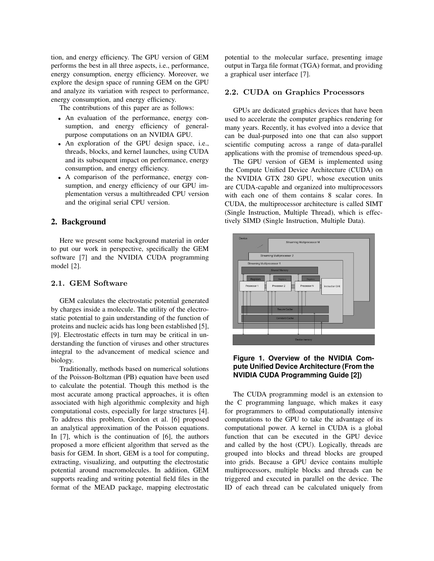tion, and energy efficiency. The GPU version of GEM performs the best in all three aspects, i.e., performance, energy consumption, energy efficiency. Moreover, we explore the design space of running GEM on the GPU and analyze its variation with respect to performance, energy consumption, and energy efficiency.

The contributions of this paper are as follows:

- An evaluation of the performance, energy consumption, and energy efficiency of generalpurpose computations on an NVIDIA GPU.
- An exploration of the GPU design space, i.e., threads, blocks, and kernel launches, using CUDA and its subsequent impact on performance, energy consumption, and energy efficiency.
- A comparison of the performance, energy consumption, and energy efficiency of our GPU implementation versus a multithreaded CPU version and the original serial CPU version.

# 2. Background

Here we present some background material in order to put our work in perspective, specifically the GEM software [7] and the NVIDIA CUDA programming model [2].

#### 2.1. GEM Software

GEM calculates the electrostatic potential generated by charges inside a molecule. The utility of the electrostatic potential to gain understanding of the function of proteins and nucleic acids has long been established [5], [9]. Electrostatic effects in turn may be critical in understanding the function of viruses and other structures integral to the advancement of medical science and biology.

Traditionally, methods based on numerical solutions of the Poisson-Boltzman (PB) equation have been used to calculate the potential. Though this method is the most accurate among practical approaches, it is often associated with high algorithmic complexity and high computational costs, especially for large structures [4]. To address this problem, Gordon et al. [6] proposed an analytical approximation of the Poisson equations. In [7], which is the continuation of [6], the authors proposed a more efficient algorithm that served as the basis for GEM. In short, GEM is a tool for computing, extracting, visualizing, and outputting the electrostatic potential around macromolecules. In addition, GEM supports reading and writing potential field files in the format of the MEAD package, mapping electrostatic

potential to the molecular surface, presenting image output in Targa file format (TGA) format, and providing a graphical user interface [7].

#### 2.2. CUDA on Graphics Processors

GPUs are dedicated graphics devices that have been used to accelerate the computer graphics rendering for many years. Recently, it has evolved into a device that can be dual-purposed into one that can also support scientific computing across a range of data-parallel applications with the promise of tremendous speed-up.

The GPU version of GEM is implemented using the Compute Unified Device Architecture (CUDA) on the NVIDIA GTX 280 GPU, whose execution units are CUDA-capable and organized into multiprocessors with each one of them contains 8 scalar cores. In CUDA, the multiprocessor architecture is called SIMT (Single Instruction, Multiple Thread), which is effectively SIMD (Single Instruction, Multiple Data).



# **Figure 1. Overview of the NVIDIA Compute Unified Device Architecture (From the NVIDIA CUDA Programming Guide [2])**

The CUDA programming model is an extension to the C programming language, which makes it easy for programmers to offload computationally intensive computations to the GPU to take the advantage of its computational power. A kernel in CUDA is a global function that can be executed in the GPU device and called by the host (CPU). Logically, threads are grouped into blocks and thread blocks are grouped into grids. Because a GPU device contains multiple multiprocessors, multiple blocks and threads can be triggered and executed in parallel on the device. The ID of each thread can be calculated uniquely from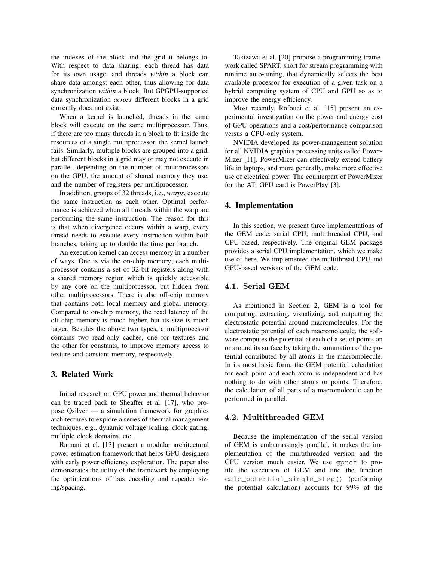the indexes of the block and the grid it belongs to. With respect to data sharing, each thread has data for its own usage, and threads *within* a block can share data amongst each other, thus allowing for data synchronization *within* a block. But GPGPU-supported data synchronization *across* different blocks in a grid currently does not exist.

When a kernel is launched, threads in the same block will execute on the same multiprocessor. Thus, if there are too many threads in a block to fit inside the resources of a single multiprocessor, the kernel launch fails. Similarly, multiple blocks are grouped into a grid, but different blocks in a grid may or may not execute in parallel, depending on the number of multiprocessors on the GPU, the amount of shared memory they use, and the number of registers per multiprocessor.

In addition, groups of 32 threads, i.e., *warps*, execute the same instruction as each other. Optimal performance is achieved when all threads within the warp are performing the same instruction. The reason for this is that when divergence occurs within a warp, every thread needs to execute every instruction within both branches, taking up to double the time per branch.

An execution kernel can access memory in a number of ways. One is via the on-chip memory; each multiprocessor contains a set of 32-bit registers along with a shared memory region which is quickly accessible by any core on the multiprocessor, but hidden from other multiprocessors. There is also off-chip memory that contains both local memory and global memory. Compared to on-chip memory, the read latency of the off-chip memory is much higher, but its size is much larger. Besides the above two types, a multiprocessor contains two read-only caches, one for textures and the other for constants, to improve memory access to texture and constant memory, respectively.

# 3. Related Work

Initial research on GPU power and thermal behavior can be traced back to Sheaffer et al. [17], who propose Qsilver — a simulation framework for graphics architectures to explore a series of thermal management techniques, e.g., dynamic voltage scaling, clock gating, multiple clock domains, etc.

Ramani et al. [13] present a modular architectural power estimation framework that helps GPU designers with early power efficiency exploration. The paper also demonstrates the utility of the framework by employing the optimizations of bus encoding and repeater sizing/spacing.

Takizawa et al. [20] propose a programming framework called SPART, short for stream programming with runtime auto-tuning, that dynamically selects the best available processor for execution of a given task on a hybrid computing system of CPU and GPU so as to improve the energy efficiency.

Most recently, Rofouei et al. [15] present an experimental investigation on the power and energy cost of GPU operations and a cost/performance comparison versus a CPU-only system.

NVIDIA developed its power-management solution for all NVIDIA graphics processing units called Power-Mizer [11]. PowerMizer can effectively extend battery life in laptops, and more generally, make more effective use of electrical power. The counterpart of PowerMizer for the ATi GPU card is PowerPlay [3].

## 4. Implementation

In this section, we present three implementations of the GEM code: serial CPU, multithreaded CPU, and GPU-based, respectively. The original GEM package provides a serial CPU implementation, which we make use of here. We implemented the multithread CPU and GPU-based versions of the GEM code.

## 4.1. Serial GEM

As mentioned in Section 2, GEM is a tool for computing, extracting, visualizing, and outputting the electrostatic potential around macromolecules. For the electrostatic potential of each macromolecule, the software computes the potential at each of a set of points on or around its surface by taking the summation of the potential contributed by all atoms in the macromolecule. In its most basic form, the GEM potential calculation for each point and each atom is independent and has nothing to do with other atoms or points. Therefore, the calculation of all parts of a macromolecule can be performed in parallel.

# 4.2. Multithreaded GEM

Because the implementation of the serial version of GEM is embarrassingly parallel, it makes the implementation of the multithreaded version and the GPU version much easier. We use gprof to profile the execution of GEM and find the function calc\_potential\_single\_step() (performing the potential calculation) accounts for 99% of the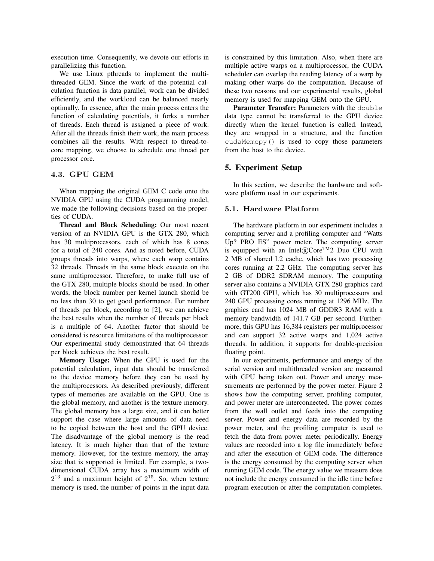execution time. Consequently, we devote our efforts in parallelizing this function.

We use Linux pthreads to implement the multithreaded GEM. Since the work of the potential calculation function is data parallel, work can be divided efficiently, and the workload can be balanced nearly optimally. In essence, after the main process enters the function of calculating potentials, it forks a number of threads. Each thread is assigned a piece of work. After all the threads finish their work, the main process combines all the results. With respect to thread-tocore mapping, we choose to schedule one thread per processor core.

## 4.3. GPU GEM

When mapping the original GEM C code onto the NVIDIA GPU using the CUDA programming model, we made the following decisions based on the properties of CUDA.

Thread and Block Scheduling: Our most recent version of an NVIDIA GPU is the GTX 280, which has 30 multiprocessors, each of which has 8 cores for a total of 240 cores. And as noted before, CUDA groups threads into warps, where each warp contains 32 threads. Threads in the same block execute on the same multiprocessor. Therefore, to make full use of the GTX 280, multiple blocks should be used. In other words, the block number per kernel launch should be no less than 30 to get good performance. For number of threads per block, according to [2], we can achieve the best results when the number of threads per block is a multiple of 64. Another factor that should be considered is resource limitations of the multiprocessor. Our experimental study demonstrated that 64 threads per block achieves the best result.

Memory Usage: When the GPU is used for the potential calculation, input data should be transferred to the device memory before they can be used by the multiprocessors. As described previously, different types of memories are available on the GPU. One is the global memory, and another is the texture memory. The global memory has a large size, and it can better support the case where large amounts of data need to be copied between the host and the GPU device. The disadvantage of the global memory is the read latency. It is much higher than that of the texture memory. However, for the texture memory, the array size that is supported is limited. For example, a twodimensional CUDA array has a maximum width of  $2^{13}$  and a maximum height of  $2^{15}$ . So, when texture memory is used, the number of points in the input data is constrained by this limitation. Also, when there are multiple active warps on a multiprocessor, the CUDA scheduler can overlap the reading latency of a warp by making other warps do the computation. Because of these two reasons and our experimental results, global memory is used for mapping GEM onto the GPU.

Parameter Transfer: Parameters with the double data type cannot be transferred to the GPU device directly when the kernel function is called. Instead, they are wrapped in a structure, and the function cudaMemcpy() is used to copy those parameters from the host to the device.

#### 5. Experiment Setup

In this section, we describe the hardware and software platform used in our experiments.

#### 5.1. Hardware Platform

The hardware platform in our experiment includes a computing server and a profiling computer and "Watts Up? PRO ES" power meter. The computing server is equipped with an Intel $\mathbb{R}$ Core<sup>TM</sup>2 Duo CPU with 2 MB of shared L2 cache, which has two processing cores running at 2.2 GHz. The computing server has 2 GB of DDR2 SDRAM memory. The computing server also contains a NVIDIA GTX 280 graphics card with GT200 GPU, which has 30 multiprocessors and 240 GPU processing cores running at 1296 MHz. The graphics card has 1024 MB of GDDR3 RAM with a memory bandwidth of 141.7 GB per second. Furthermore, this GPU has 16,384 registers per multiprocessor and can support 32 active warps and 1,024 active threads. In addition, it supports for double-precision floating point.

In our experiments, performance and energy of the serial version and multithreaded version are measured with GPU being taken out. Power and energy measurements are performed by the power meter. Figure 2 shows how the computing server, profiling computer, and power meter are interconnected. The power comes from the wall outlet and feeds into the computing server. Power and energy data are recorded by the power meter, and the profiling computer is used to fetch the data from power meter periodically. Energy values are recorded into a log file immediately before and after the execution of GEM code. The difference is the energy consumed by the computing server when running GEM code. The energy value we measure does not include the energy consumed in the idle time before program execution or after the computation completes.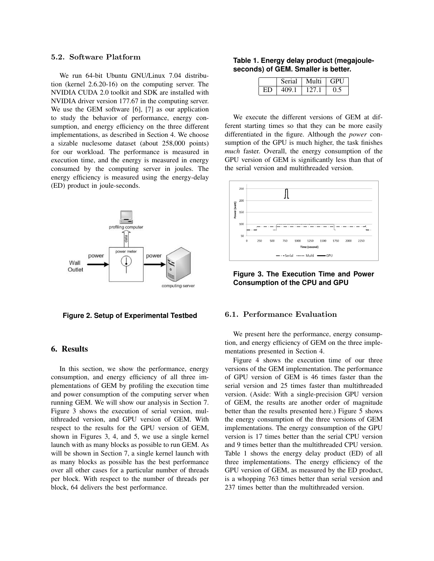## 5.2. Software Platform

We run 64-bit Ubuntu GNU/Linux 7.04 distribution (kernel 2.6.20-16) on the computing server. The NVIDIA CUDA 2.0 toolkit and SDK are installed with NVIDIA driver version 177.67 in the computing server. We use the GEM software [6], [7] as our application to study the behavior of performance, energy consumption, and energy efficiency on the three different implementations, as described in Section 4. We choose a sizable nuclesome dataset (about 258,000 points) for our workload. The performance is measured in execution time, and the energy is measured in energy consumed by the computing server in joules. The energy efficiency is measured using the energy-delay (ED) product in joule-seconds.



# **Figure 2. Setup of Experimental Testbed**

# 6. Results

In this section, we show the performance, energy consumption, and energy efficiency of all three implementations of GEM by profiling the execution time and power consumption of the computing server when running GEM. We will show our analysis in Section 7. Figure 3 shows the execution of serial version, multithreaded version, and GPU version of GEM. With respect to the results for the GPU version of GEM, shown in Figures 3, 4, and 5, we use a single kernel launch with as many blocks as possible to run GEM. As will be shown in Section 7, a single kernel launch with as many blocks as possible has the best performance over all other cases for a particular number of threads per block. With respect to the number of threads per block, 64 delivers the best performance.

#### **Table 1. Energy delay product (megajouleseconds) of GEM. Smaller is better.**

|    | Serial | Multi | $\mid$ GPU        |
|----|--------|-------|-------------------|
| ED | 409.1  | 127.1 | $^{\prime\prime}$ |

We execute the different versions of GEM at different starting times so that they can be more easily differentiated in the figure. Although the *power* consumption of the GPU is much higher, the task finishes *much* faster. Overall, the energy consumption of the GPU version of GEM is significantly less than that of the serial version and multithreaded version.



**Figure 3. The Execution Time and Power Consumption of the CPU and GPU**

## 6.1. Performance Evaluation

We present here the performance, energy consumption, and energy efficiency of GEM on the three implementations presented in Section 4.

Figure 4 shows the execution time of our three versions of the GEM implementation. The performance of GPU version of GEM is 46 times faster than the serial version and 25 times faster than multithreaded version. (Aside: With a single-precision GPU version of GEM, the results are another order of magnitude better than the results presented here.) Figure 5 shows the energy consumption of the three versions of GEM implementations. The energy consumption of the GPU version is 17 times better than the serial CPU version and 9 times better than the multithreaded CPU version. Table 1 shows the energy delay product (ED) of all three implementations. The energy efficiency of the GPU version of GEM, as measured by the ED product, is a whopping 763 times better than serial version and 237 times better than the multithreaded version.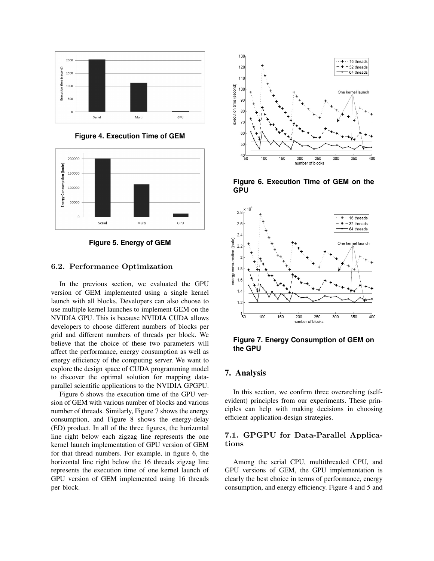

**Figure 4. Execution Time of GEM**





#### 6.2. Performance Optimization

In the previous section, we evaluated the GPU version of GEM implemented using a single kernel launch with all blocks. Developers can also choose to use multiple kernel launches to implement GEM on the NVIDIA GPU. This is because NVIDIA CUDA allows developers to choose different numbers of blocks per grid and different numbers of threads per block. We believe that the choice of these two parameters will affect the performance, energy consumption as well as energy efficiency of the computing server. We want to explore the design space of CUDA programming model to discover the optimal solution for mapping dataparallel scientific applications to the NVIDIA GPGPU.

Figure 6 shows the execution time of the GPU version of GEM with various number of blocks and various number of threads. Similarly, Figure 7 shows the energy consumption, and Figure 8 shows the energy-delay (ED) product. In all of the three figures, the horizontal line right below each zigzag line represents the one kernel launch implementation of GPU version of GEM for that thread numbers. For example, in figure 6, the horizontal line right below the 16 threads zigzag line represents the execution time of one kernel launch of GPU version of GEM implemented using 16 threads per block.



**Figure 6. Execution Time of GEM on the GPU**



**Figure 7. Energy Consumption of GEM on the GPU**

## 7. Analysis

In this section, we confirm three overarching (selfevident) principles from our experiments. These principles can help with making decisions in choosing efficient application-design strategies.

## 7.1. GPGPU for Data-Parallel Applications

Among the serial CPU, multithreaded CPU, and GPU versions of GEM, the GPU implementation is clearly the best choice in terms of performance, energy consumption, and energy efficiency. Figure 4 and 5 and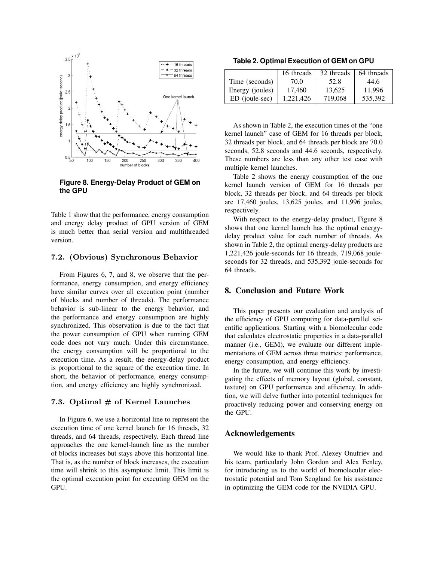

**Figure 8. Energy-Delay Product of GEM on the GPU**

Table 1 show that the performance, energy consumption and energy delay product of GPU version of GEM is much better than serial version and multithreaded version.

#### 7.2. (Obvious) Synchronous Behavior

From Figures 6, 7, and 8, we observe that the performance, energy consumption, and energy efficiency have similar curves over all execution point (number of blocks and number of threads). The performance behavior is sub-linear to the energy behavior, and the performance and energy consumption are highly synchronized. This observation is due to the fact that the power consumption of GPU when running GEM code does not vary much. Under this circumstance, the energy consumption will be proportional to the execution time. As a result, the energy-delay product is proportional to the square of the execution time. In short, the behavior of performance, energy consumption, and energy efficiency are highly synchronized.

#### 7.3. Optimal  $#$  of Kernel Launches

In Figure 6, we use a horizontal line to represent the execution time of one kernel launch for 16 threads, 32 threads, and 64 threads, respectively. Each thread line approaches the one kernel-launch line as the number of blocks increases but stays above this horizontal line. That is, as the number of block increases, the execution time will shrink to this asymptotic limit. This limit is the optimal execution point for executing GEM on the GPU.

**Table 2. Optimal Execution of GEM on GPU**

|                 | 16 threads | 32 threads | 64 threads |
|-----------------|------------|------------|------------|
| Time (seconds)  | 70.0       | 52.8       | 44.6       |
| Energy (joules) | 17.460     | 13.625     | 11.996     |
| ED (joule-sec)  | 1,221,426  | 719,068    | 535.392    |

As shown in Table 2, the execution times of the "one kernel launch" case of GEM for 16 threads per block, 32 threads per block, and 64 threads per block are 70.0 seconds, 52.8 seconds and 44.6 seconds, respectively. These numbers are less than any other test case with multiple kernel launches.

Table 2 shows the energy consumption of the one kernel launch version of GEM for 16 threads per block, 32 threads per block, and 64 threads per block are 17,460 joules, 13,625 joules, and 11,996 joules, respectively.

With respect to the energy-delay product, Figure 8 shows that one kernel launch has the optimal energydelay product value for each number of threads. As shown in Table 2, the optimal energy-delay products are 1,221,426 joule-seconds for 16 threads, 719,068 jouleseconds for 32 threads, and 535,392 joule-seconds for 64 threads.

#### 8. Conclusion and Future Work

This paper presents our evaluation and analysis of the efficiency of GPU computing for data-parallel scientific applications. Starting with a biomolecular code that calculates electrostatic properties in a data-parallel manner (i.e., GEM), we evaluate our different implementations of GEM across three metrics: performance, energy consumption, and energy efficiency.

In the future, we will continue this work by investigating the effects of memory layout (global, constant, texture) on GPU performance and efficiency. In addition, we will delve further into potential techniques for proactively reducing power and conserving energy on the GPU.

#### Acknowledgements

We would like to thank Prof. Alexey Onufriev and his team, particularly John Gordon and Alex Fenley, for introducing us to the world of biomolecular electrostatic potential and Tom Scogland for his assistance in optimizing the GEM code for the NVIDIA GPU.